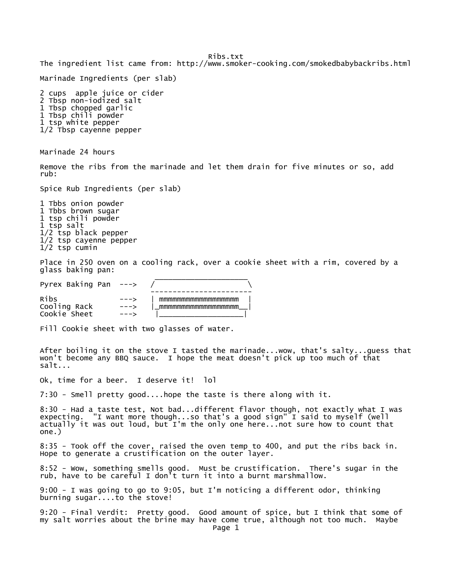Ribs.txt The ingredient list came from: http://www.smoker-cooking.com/smokedbabybackribs.html Marinade Ingredients (per slab) 2 cups apple juice or cider 2 Tbsp non-iodized salt 1 Tbsp chopped garlic 1 Tbsp chili powder 1 tsp white pepper 1/2 Tbsp cayenne pepper Marinade 24 hours Remove the ribs from the marinade and let them drain for five minutes or so, add rub: Spice Rub Ingredients (per slab) 1 Tbbs onion powder 1 Tbbs brown sugar 1 tsp chili powder 1 tsp salt 1/2 tsp black pepper 1/2 tsp cayenne pepper 1/2 tsp cumin Place in 250 oven on a cooling rack, over a cookie sheet with a rim, covered by a glass baking pan: \_\_\_\_\_\_\_\_\_\_\_\_\_\_\_\_\_\_\_\_\_ Pyrex Baking Pan  $---$  ----------------------- Ribs ---> | mmmmmmmmmmmmmmmmmm |  $---$ > | mmmmmmmmmmmmmmmmmmm Cookie Sheet ---> Fill Cookie sheet with two glasses of water. After boiling it on the stove I tasted the marinade...wow, that's salty...guess that won't become any BBQ sauce. I hope the meat doesn't pick up too much of that salt... Ok, time for a beer. I deserve it! lol 7:30 - Smell pretty good....hope the taste is there along with it. 8:30 - Had a taste test, Not bad...different flavor though, not exactly what I was expecting. "I want more though...so that's a good sign" I said to myself (well actually it was out loud, but I'm the only one here...not sure how to count that one.) 8:35 - Took off the cover, raised the oven temp to 400, and put the ribs back in. Hope to generate a crustification on the outer layer. 8:52 - Wow, something smells good. Must be crustification. There's sugar in the rub, have to be careful I don't turn it into a burnt marshmallow. 9:00 - I was going to go to 9:05, but I'm noticing a different odor, thinking burning sugar....to the stove! 9:20 - Final Verdit: Pretty good. Good amount of spice, but I think that some of my salt worries about the brine may have come true, although not too much. Maybe Page 1